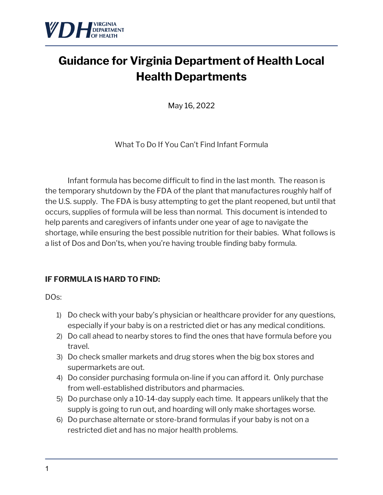

# **Guidance for Virginia Department of Health Local Health Departments**

May 16, 2022

What To Do If You Can't Find Infant Formula

Infant formula has become difficult to find in the last month. The reason is the temporary shutdown by the FDA of the plant that manufactures roughly half of the U.S. supply. The FDA is busy attempting to get the plant reopened, but until that occurs, supplies of formula will be less than normal. This document is intended to help parents and caregivers of infants under one year of age to navigate the shortage, while ensuring the best possible nutrition for their babies. What follows is a list of Dos and Don'ts, when you're having trouble finding baby formula.

### **IF FORMULA IS HARD TO FIND:**

DO<sub>S</sub>:

- 1) Do check with your baby's physician or healthcare provider for any questions, especially if your baby is on a restricted diet or has any medical conditions.
- 2) Do call ahead to nearby stores to find the ones that have formula before you travel.
- 3) Do check smaller markets and drug stores when the big box stores and supermarkets are out.
- 4) Do consider purchasing formula on-line if you can afford it. Only purchase from well-established distributors and pharmacies.
- 5) Do purchase only a 10-14-day supply each time. It appears unlikely that the supply is going to run out, and hoarding will only make shortages worse.
- 6) Do purchase alternate or store-brand formulas if your baby is not on a restricted diet and has no major health problems.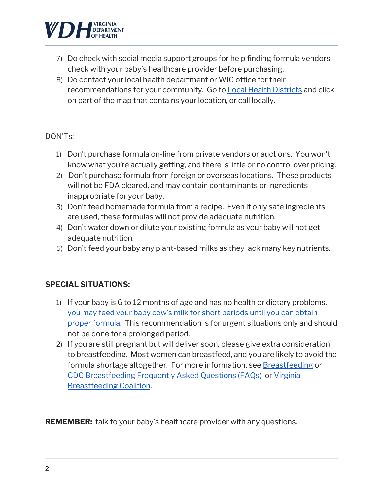

- 7) Do check with social media support groups for help finding formula vendors, check with your baby's healthcare provider before purchasing.
- 8) Do contact your local health department or WIC office for their recommendations for your community. Go to Local Health Districts and click on part of the map that contains your location, or call locally.

#### DON'Ts:

- 1) Don't purchase formula on-line from private vendors or auctions. You won't know what you're actually getting, and there is little or no control over pricing.
- 2) Don't purchase formula from foreign or overseas locations. These products will not be FDA cleared, and may contain contaminants or ingredients inappropriate for your baby.
- 3) Don't feed homemade formula from a recipe. Even if only safe ingredients are used, these formulas will not provide adequate nutrition.
- 4) Don't water down or dilute your existing formula as your baby will not get adequate nutrition.
- 5) Don't feed your baby any plant-based milks as they lack many key nutrients.

#### **SPECIAL SITUATIONS:**

- 1) If your baby is 6 to 12 months of age and has no health or dietary problems, you may feed your baby cow's milk for short periods until you can obtain proper formula. This recommendation is for urgent situations only and should not be done for a prolonged period.
- 2) If you are still pregnant but will deliver soon, please give extra consideration to breastfeeding. Most women can breastfeed, and you are likely to avoid the formula shortage altogether. For more information, see Breastfeeding or CDC Breastfeeding Frequently Asked Questions (FAQs) or Virginia Breastfeeding Coalition.

**REMEMBER:** talk to your baby's healthcare provider with any questions.